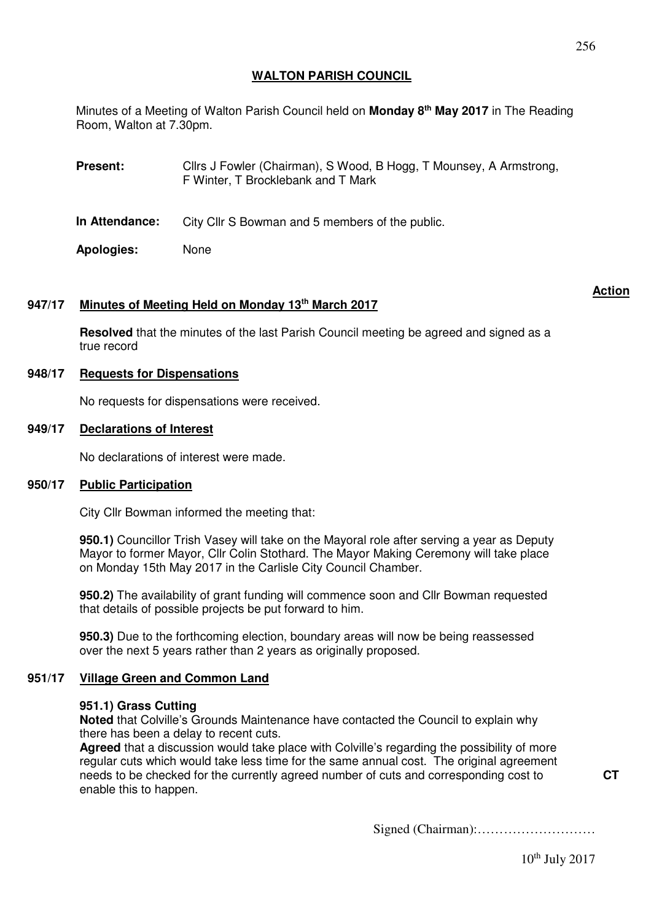256

# **WALTON PARISH COUNCIL**

Minutes of a Meeting of Walton Parish Council held on **Monday 8th May 2017** in The Reading Room, Walton at 7.30pm.

**Present:** Cllrs J Fowler (Chairman), S Wood, B Hogg, T Mounsey, A Armstrong, F Winter, T Brocklebank and T Mark

**In Attendance:** City Cllr S Bowman and 5 members of the public.

**Apologies:** None

# **947/17 Minutes of Meeting Held on Monday 13th March 2017**

**Action**

**Resolved** that the minutes of the last Parish Council meeting be agreed and signed as a true record

### **948/17 Requests for Dispensations**

No requests for dispensations were received.

### **949/17 Declarations of Interest**

No declarations of interest were made.

### **950/17 Public Participation**

City Cllr Bowman informed the meeting that:

**950.1)** Councillor Trish Vasey will take on the Mayoral role after serving a year as Deputy Mayor to former Mayor, Cllr Colin Stothard. The Mayor Making Ceremony will take place on Monday 15th May 2017 in the Carlisle City Council Chamber.

**950.2)** The availability of grant funding will commence soon and Cllr Bowman requested that details of possible projects be put forward to him.

**950.3)** Due to the forthcoming election, boundary areas will now be being reassessed over the next 5 years rather than 2 years as originally proposed.

### **951/17 Village Green and Common Land**

### **951.1) Grass Cutting**

**Noted** that Colville's Grounds Maintenance have contacted the Council to explain why there has been a delay to recent cuts.

**Agreed** that a discussion would take place with Colville's regarding the possibility of more regular cuts which would take less time for the same annual cost. The original agreement needs to be checked for the currently agreed number of cuts and corresponding cost to enable this to happen.

Signed (Chairman):………………………

 $10^{th}$  July 2017

**CT**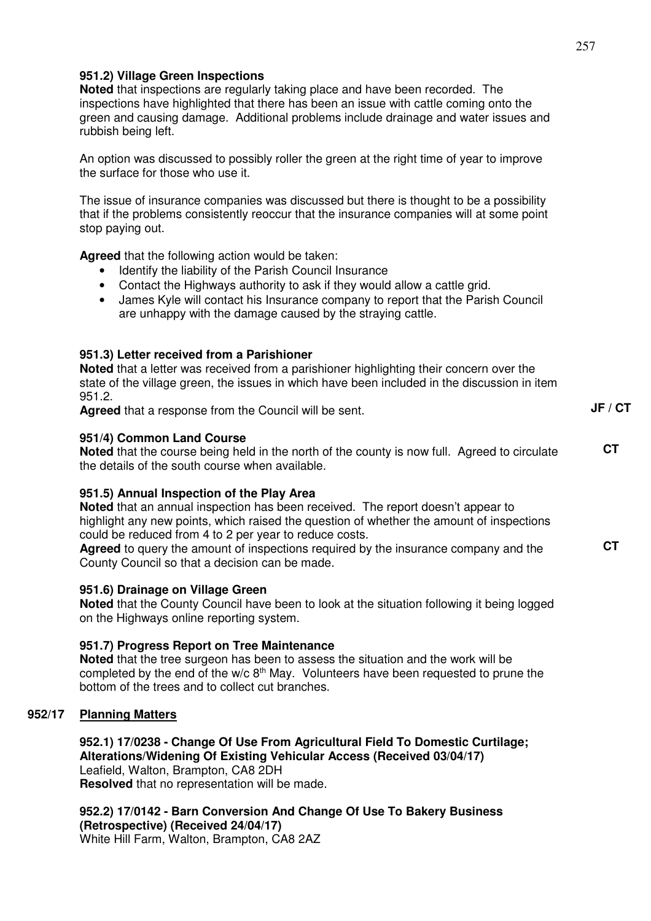## **951.2) Village Green Inspections**

**Noted** that inspections are regularly taking place and have been recorded. The inspections have highlighted that there has been an issue with cattle coming onto the green and causing damage. Additional problems include drainage and water issues and rubbish being left.

An option was discussed to possibly roller the green at the right time of year to improve the surface for those who use it.

The issue of insurance companies was discussed but there is thought to be a possibility that if the problems consistently reoccur that the insurance companies will at some point stop paying out.

**Agreed** that the following action would be taken:

- Identify the liability of the Parish Council Insurance
- Contact the Highways authority to ask if they would allow a cattle grid.
- James Kyle will contact his Insurance company to report that the Parish Council are unhappy with the damage caused by the straying cattle.

## **951.3) Letter received from a Parishioner**

**Noted** that a letter was received from a parishioner highlighting their concern over the state of the village green, the issues in which have been included in the discussion in item 951.2.

**Agreed** that a response from the Council will be sent.

### **951/4) Common Land Course**

**Noted** that the course being held in the north of the county is now full. Agreed to circulate the details of the south course when available. **CT** 

### **951.5) Annual Inspection of the Play Area**

**Noted** that an annual inspection has been received. The report doesn't appear to highlight any new points, which raised the question of whether the amount of inspections could be reduced from 4 to 2 per year to reduce costs.

**Agreed** to query the amount of inspections required by the insurance company and the County Council so that a decision can be made. **CT** 

### **951.6) Drainage on Village Green**

**Noted** that the County Council have been to look at the situation following it being logged on the Highways online reporting system.

#### **951.7) Progress Report on Tree Maintenance**

**Noted** that the tree surgeon has been to assess the situation and the work will be completed by the end of the  $w/c 8<sup>th</sup>$  May. Volunteers have been requested to prune the bottom of the trees and to collect cut branches.

### **952/17 Planning Matters**

**952.1) 17/0238 - Change Of Use From Agricultural Field To Domestic Curtilage; Alterations/Widening Of Existing Vehicular Access (Received 03/04/17)** Leafield, Walton, Brampton, CA8 2DH **Resolved** that no representation will be made.

**952.2) 17/0142 - Barn Conversion And Change Of Use To Bakery Business (Retrospective) (Received 24/04/17)** White Hill Farm, Walton, Brampton, CA8 2AZ

**JF / CT**